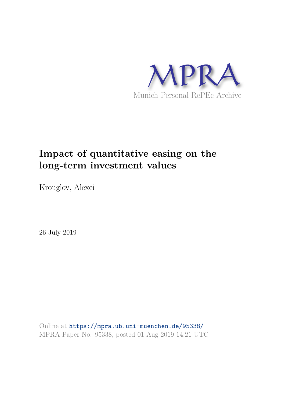

# **Impact of quantitative easing on the long-term investment values**

Krouglov, Alexei

26 July 2019

Online at https://mpra.ub.uni-muenchen.de/95338/ MPRA Paper No. 95338, posted 01 Aug 2019 14:21 UTC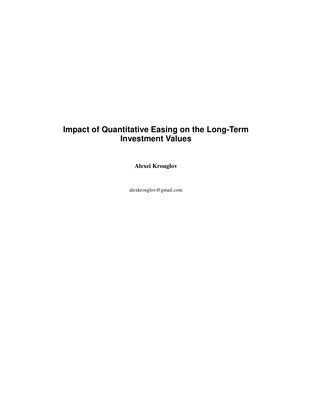## **Impact of Quantitative Easing on the Long-Term Investment Values**

**Alexei Krouglov** 

alexkrouglov@gmail.com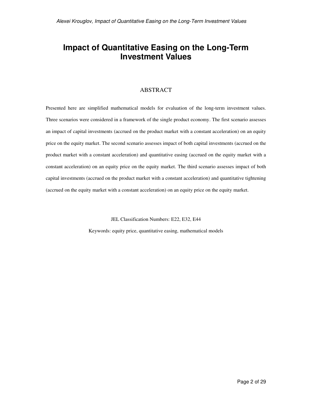## **Impact of Quantitative Easing on the Long-Term Investment Values**

#### ABSTRACT

Presented here are simplified mathematical models for evaluation of the long-term investment values. Three scenarios were considered in a framework of the single product economy. The first scenario assesses an impact of capital investments (accrued on the product market with a constant acceleration) on an equity price on the equity market. The second scenario assesses impact of both capital investments (accrued on the product market with a constant acceleration) and quantitative easing (accrued on the equity market with a constant acceleration) on an equity price on the equity market. The third scenario assesses impact of both capital investments (accrued on the product market with a constant acceleration) and quantitative tightening (accrued on the equity market with a constant acceleration) on an equity price on the equity market.

JEL Classification Numbers: E22, E32, E44

Keywords: equity price, quantitative easing, mathematical models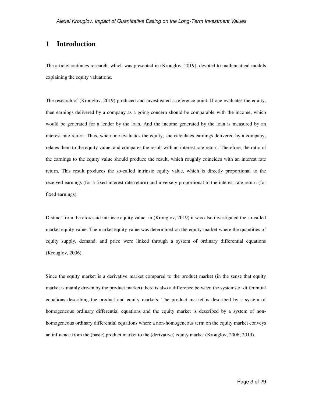### **1 Introduction**

The article continues research, which was presented in (Krouglov, 2019), devoted to mathematical models explaining the equity valuations.

The research of (Krouglov, 2019) produced and investigated a reference point. If one evaluates the equity, then earnings delivered by a company as a going concern should be comparable with the income, which would be generated for a lender by the loan. And the income generated by the loan is measured by an interest rate return. Thus, when one evaluates the equity, she calculates earnings delivered by a company, relates them to the equity value, and compares the result with an interest rate return. Therefore, the ratio of the earnings to the equity value should produce the result, which roughly coincides with an interest rate return. This result produces the so-called intrinsic equity value, which is directly proportional to the received earnings (for a fixed interest rate return) and inversely proportional to the interest rate return (for fixed earnings).

Distinct from the aforesaid intrinsic equity value, in (Krouglov, 2019) it was also investigated the so-called market equity value. The market equity value was determined on the equity market where the quantities of equity supply, demand, and price were linked through a system of ordinary differential equations (Krouglov, 2006).

Since the equity market is a derivative market compared to the product market (in the sense that equity market is mainly driven by the product market) there is also a difference between the systems of differential equations describing the product and equity markets. The product market is described by a system of homogeneous ordinary differential equations and the equity market is described by a system of nonhomogeneous ordinary differential equations where a non-homogeneous term on the equity market conveys an influence from the (basic) product market to the (derivative) equity market (Krouglov, 2006; 2019).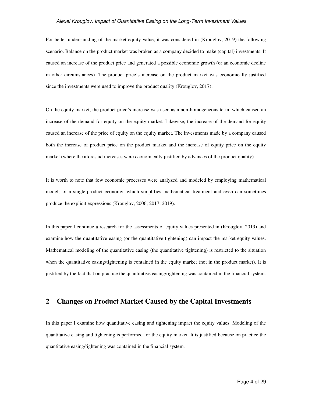#### *Alexei Krouglov, Impact of Quantitative Easing on the Long-Term Investment Values*

For better understanding of the market equity value, it was considered in (Krouglov, 2019) the following scenario. Balance on the product market was broken as a company decided to make (capital) investments. It caused an increase of the product price and generated a possible economic growth (or an economic decline in other circumstances). The product price's increase on the product market was economically justified since the investments were used to improve the product quality (Krouglov, 2017).

On the equity market, the product price's increase was used as a non-homogeneous term, which caused an increase of the demand for equity on the equity market. Likewise, the increase of the demand for equity caused an increase of the price of equity on the equity market. The investments made by a company caused both the increase of product price on the product market and the increase of equity price on the equity market (where the aforesaid increases were economically justified by advances of the product quality).

It is worth to note that few economic processes were analyzed and modeled by employing mathematical models of a single-product economy, which simplifies mathematical treatment and even can sometimes produce the explicit expressions (Krouglov, 2006; 2017; 2019).

In this paper I continue a research for the assessments of equity values presented in (Krouglov, 2019) and examine how the quantitative easing (or the quantitative tightening) can impact the market equity values. Mathematical modeling of the quantitative easing (the quantitative tightening) is restricted to the situation when the quantitative easing/tightening is contained in the equity market (not in the product market). It is justified by the fact that on practice the quantitative easing/tightening was contained in the financial system.

#### **2 Changes on Product Market Caused by the Capital Investments**

In this paper I examine how quantitative easing and tightening impact the equity values. Modeling of the quantitative easing and tightening is performed for the equity market. It is justified because on practice the quantitative easing/tightening was contained in the financial system.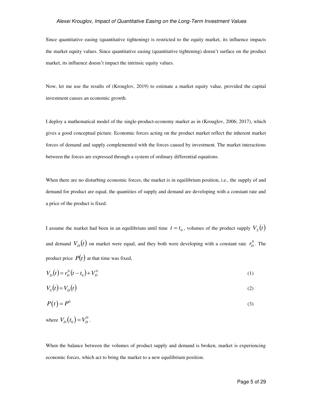#### *Alexei Krouglov, Impact of Quantitative Easing on the Long-Term Investment Values*

Since quantitative easing (quantitative tightening) is restricted to the equity market, its influence impacts the market equity values. Since quantitative easing (quantitative tightening) doesn't surface on the product market, its influence doesn't impact the intrinsic equity values.

Now, let me use the results of (Krouglov, 2019) to estimate a market equity value, provided the capital investment causes an economic growth.

I deploy a mathematical model of the single-product-economy market as in (Krouglov, 2006; 2017), which gives a good conceptual picture. Economic forces acting on the product market reflect the inherent market forces of demand and supply complemented with the forces caused by investment. The market interactions between the forces are expressed through a system of ordinary differential equations.

When there are no disturbing economic forces, the market is in equilibrium position, i.e., the supply of and demand for product are equal, the quantities of supply and demand are developing with a constant rate and a price of the product is fixed.

I assume the market had been in an equilibrium until time  $t = t_0$ , volumes of the product supply  $V_s(t)$ and demand  $V_D(t)$  on market were equal, and they both were developing with a constant rate  $r_D^0$ . The product price  $P(t)$  at that time was fixed,

$$
V_D(t) = r_D^0(t - t_0) + V_D^0
$$
 (1)

$$
V_s(t) = V_D(t) \tag{2}
$$

$$
P(t) = P^0 \tag{3}
$$

where  $V_D(t_0) = V_D^0$ .

When the balance between the volumes of product supply and demand is broken, market is experiencing economic forces, which act to bring the market to a new equilibrium position.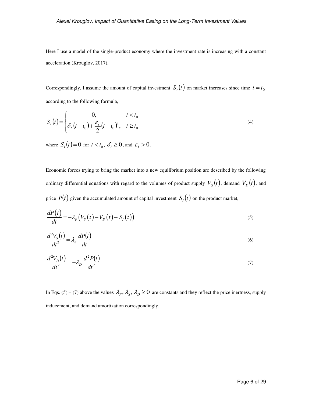Here I use a model of the single-product economy where the investment rate is increasing with a constant acceleration (Krouglov, 2017).

Correspondingly, I assume the amount of capital investment  $S_I(t)$  on market increases since time  $t = t_0$ according to the following formula,

$$
S_I(t) = \begin{cases} 0, & t < t_0 \\ \delta_I(t - t_0) + \frac{\varepsilon_I}{2}(t - t_0)^2, & t \ge t_0 \end{cases}
$$
 (4)

where  $S_I(t) = 0$  for  $t < t_0$ ,  $\delta_I \ge 0$ , and  $\varepsilon_I > 0$ .

Economic forces trying to bring the market into a new equilibrium position are described by the following ordinary differential equations with regard to the volumes of product supply  $V_{\scriptscriptstyle S}\bigl(t\bigr)$ , demand  $V_{\scriptscriptstyle D}\bigl(t\bigr)$ , and price  $P(t)$  given the accumulated amount of capital investment  $S_I(t)$  on the product market,

$$
\frac{dP(t)}{dt} = -\lambda_P \left( V_S(t) - V_D(t) - S_I(t) \right) \tag{5}
$$

$$
\frac{d^2V_s(t)}{dt^2} = \lambda_s \frac{dP(t)}{dt}
$$
\n(6)

$$
\frac{d^2V_D(t)}{dt^2} = -\lambda_D \frac{d^2P(t)}{dt^2}
$$
\n(7)

In Eqs. (5) – (7) above the values  $\lambda_p$ ,  $\lambda_s$ ,  $\lambda_p \ge 0$  are constants and they reflect the price inertness, supply inducement, and demand amortization correspondingly.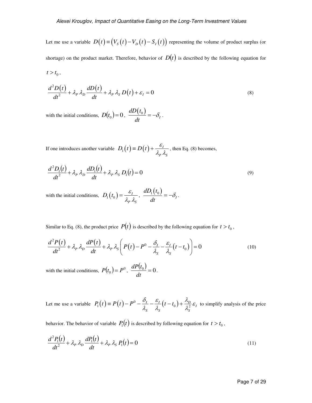Let me use a variable  $D(t) \equiv (V_s(t) - V_D(t) - S_I(t))$  representing the volume of product surplus (or shortage) on the product market. Therefore, behavior of  $D(t)$  is described by the following equation for  $t > t_0$ ,

$$
\frac{d^2D(t)}{dt^2} + \lambda_p \lambda_p \frac{dD(t)}{dt} + \lambda_p \lambda_s D(t) + \varepsilon_l = 0
$$
\n(8)

with the initial conditions,  $D(t_0) = 0$ ,  $\frac{dD(t_0)}{dt}$ . *I dD t dt*  $=-\delta_{I}$ .

If one introduces another variable  $D_1(t) = D(t) + \frac{\varepsilon_1}{1}$ *P S*  $D_1(t) \equiv D(t) + \frac{\varepsilon}{2}$  $\lambda_p \lambda_s$  $\equiv D(t) + \frac{c_1}{2}$ , then Eq. (8) becomes,

$$
\frac{d^2D_1(t)}{dt^2} + \lambda_P \lambda_D \frac{dD_1(t)}{dt} + \lambda_P \lambda_S D_1(t) = 0
$$
\n(9)

with the initial conditions,  $D_1(t_0) = \frac{\varepsilon_1}{2}$ *P S*  $D_1(t_0) = \frac{\varepsilon}{4}$  $\lambda_{\rm p} \lambda_{\rm s}$  $=\frac{\varepsilon_1}{\sqrt{1-\frac{2}{n}}}$ ,  $\frac{dD_1(t_0)}{dt}$ *I*  $dD_1(t)$ *dt*  $=-\delta_{I}$ .

Similar to Eq. (8), the product price  $P(t)$  is described by the following equation for  $t > t_0$ ,

$$
\frac{d^2P(t)}{dt^2} + \lambda_p \lambda_p \frac{dP(t)}{dt} + \lambda_p \lambda_s \left( P(t) - P^0 - \frac{\delta_t}{\lambda_s} - \frac{\varepsilon_t}{\lambda_s} (t - t_0) \right) = 0 \tag{10}
$$

with the initial conditions,  $P(t_0) = P^0$ ,  $\frac{dP(t_0)}{dt} = 0$ *dt*  $\frac{dP(t_0)}{dt} = 0$ .

Let me use a variable  $P_1(t) = P(t) - P^0 - \frac{\sigma_I}{\lambda} - \frac{\varepsilon_I}{\lambda} (t - t_0) + \frac{\lambda_D}{\lambda^2} \varepsilon_I$  $S^{\prime}$   $S^{\prime}$  $P_1(t) = P(t) - P^0 - \frac{\delta_t}{\lambda_s} - \frac{\varepsilon_t}{\lambda_s}(t - t_0) + \frac{\lambda_D}{\lambda_s^2}\varepsilon_t$  $\equiv P(t) - P^0 - \frac{G_I}{t} - \frac{G_I}{t} (t - t_0) + \frac{G_D}{t^2} \varepsilon_I$  to simplify analysis of the price

behavior. The behavior of variable  $P_1(t)$  is described by following equation for  $t > t_0$ ,

$$
\frac{d^2P_1(t)}{dt^2} + \lambda_P \lambda_D \frac{dP_1(t)}{dt} + \lambda_P \lambda_S P_1(t) = 0
$$
\n(11)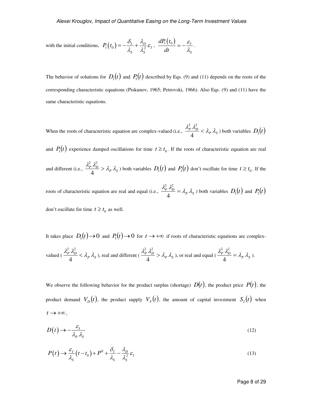with the initial conditions, 
$$
P_1(t_0) = -\frac{\delta_I}{\lambda_S} + \frac{\lambda_D}{\lambda_S^2} \varepsilon_I
$$
,  $\frac{dP_1(t_0)}{dt} = -\frac{\varepsilon_I}{\lambda_S}$ .

The behavior of solutions for  $D_1(t)$  and  $P_1(t)$  described by Eqs. (9) and (11) depends on the roots of the corresponding characteristic equations (Piskunov, 1965; Petrovski, 1966). Also Eqs. (9) and (11) have the same characteristic equations.

When the roots of characteristic equation are complex-valued (i.e.,  $\frac{\lambda_P^2 \lambda_D^2}{4} < \lambda_P \lambda_S$ 4  $\frac{d^2 p}{dt^2}$   $\lambda_p^2$   $\lambda_s$  both variables  $D_1(t)$ 

and  $P_1(t)$  experience damped oscillations for time  $t \ge t_0$ . If the roots of characteristic equation are real

and different (i.e.,  $\frac{\lambda_P^2 \lambda_D^2}{4} > \lambda_P \lambda_S$ 4  $\frac{d^2 p}{dt^2}$   $\lambda_p^2$   $\lambda_p$   $\lambda_s$  both variables  $D_1(t)$  and  $P_1(t)$  don't oscillate for time  $t \ge t_0$ . If the

roots of characteristic equation are real and equal (i.e.,  $\frac{\lambda_P^2 \lambda_D^2}{4} = \lambda_P \lambda_S$ 4  $\frac{d^2 p}{dt^2} \lambda_p^2 = \lambda_p \lambda_s$ ) both variables  $D_1(t)$  and  $P_1(t)$ 

don't oscillate for time  $t \ge t_0$  as well.

It takes place  $D_1(t) \to 0$  and  $P_1(t) \to 0$  for  $t \to +\infty$  if roots of characteristic equations are complex-

valued 
$$
(\frac{\lambda_P^2 \lambda_D^2}{4} < \lambda_P \lambda_S)
$$
, real and different  $(\frac{\lambda_P^2 \lambda_D^2}{4} > \lambda_P \lambda_S)$ , or real and equal  $(\frac{\lambda_P^2 \lambda_D^2}{4} = \lambda_P \lambda_S)$ .

We observe the following behavior for the product surplus (shortage)  $D(t)$ , the product price  $P(t)$ , the product demand  $V_D(t)$ , the product supply  $V_S(t)$ , the amount of capital investment  $S_I(t)$  when  $t \rightarrow +\infty$ ,

$$
D(t) \to -\frac{\varepsilon_I}{\lambda_P \lambda_S} \tag{12}
$$

$$
P(t) \to \frac{\varepsilon_I}{\lambda_S} (t - t_0) + P^0 + \frac{\delta_I}{\lambda_S} - \frac{\lambda_D}{\lambda_S^2} \varepsilon_I
$$
\n(13)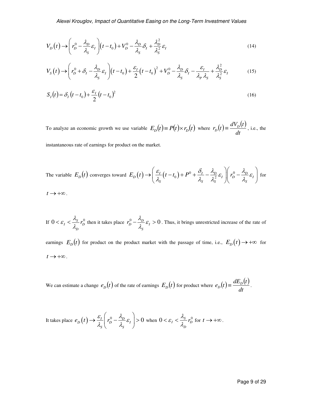$$
V_D(t) \rightarrow \left(r_D^0 - \frac{\lambda_D}{\lambda_S} \varepsilon_I\right) (t - t_0) + V_D^0 - \frac{\lambda_D}{\lambda_S} \delta_I + \frac{\lambda_D^2}{\lambda_S^2} \varepsilon_I
$$
\n(14)

$$
V_S(t) \rightarrow \left(r_D^0 + \delta_I - \frac{\lambda_D}{\lambda_S} \varepsilon_I\right) (t - t_0) + \frac{\varepsilon_I}{2} (t - t_0)^2 + V_D^0 - \frac{\lambda_D}{\lambda_S} \delta_I - \frac{\varepsilon_I}{\lambda_P \lambda_S} + \frac{\lambda_D^2}{\lambda_S^2} \varepsilon_I
$$
(15)

$$
S_I(t) = \delta_I (t - t_0) + \frac{\varepsilon_I}{2} (t - t_0)^2
$$
\n(16)

To analyze an economic growth we use variable  $E_D(t) = P(t) \times r_D(t)$  where  $r_D(t) = \frac{dV_D(t)}{dt}$ , *dt*  $r_D(t) \equiv \frac{dV_D(t)}{dt}$ , i.e., the

instantaneous rate of earnings for product on the market.

The variable 
$$
E_D(t)
$$
 converges toward  $E_D(t) \rightarrow \left(\frac{\varepsilon_I}{\lambda_S}(t - t_0) + P^0 + \frac{\delta_I}{\lambda_S} - \frac{\lambda_D}{\lambda_S^2} \varepsilon_I\right) \left(r_D^0 - \frac{\lambda_D}{\lambda_S} \varepsilon_I\right)$  for   
  $t \rightarrow +\infty$ .

If 
$$
0 < \varepsilon_I < \frac{\lambda_S}{\lambda_D} r_D^0
$$
 then it takes place  $r_D^0 - \frac{\lambda_D}{\lambda_S} \varepsilon_I > 0$ . Thus, it brings unrestricted increase of the rate of

earnings  $E_D(t)$  for product on the product market with the passage of time, i.e.,  $E_D(t) \rightarrow +\infty$  for  $t \rightarrow +\infty$ .

We can estimate a change  $e_D(t)$  of the rate of earnings  $E_D(t)$  for product where  $e_D(t) \equiv \frac{dE_D(t)}{dt}$ . *dt*  $e_D(t) \equiv \frac{dE_D(t)}{dt}$ .

It takes place 
$$
e_D(t) \to \frac{\varepsilon_I}{\lambda_S} \left( r_D^0 - \frac{\lambda_D}{\lambda_S} \varepsilon_I \right) > 0
$$
 when  $0 < \varepsilon_I < \frac{\lambda_S}{\lambda_D} r_D^0$  for  $t \to +\infty$ .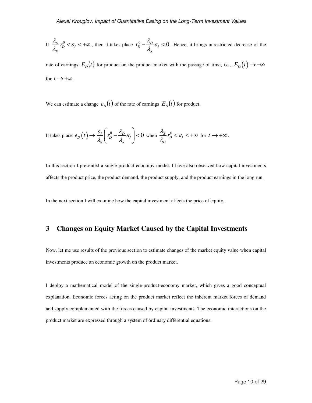If 
$$
\frac{\lambda_s}{\lambda_D} r_D^0 < \varepsilon_I < +\infty
$$
, then it takes place  $r_D^0 - \frac{\lambda_D}{\lambda_s} \varepsilon_I < 0$ . Hence, it brings unrestricted decrease of the

rate of earnings  $E_D(t)$  for product on the product market with the passage of time, i.e.,  $E_D(t) \rightarrow -\infty$ for  $t \rightarrow +\infty$ .

We can estimate a change  $e_D(t)$  of the rate of earnings  $E_D(t)$  for product.

It takes place 
$$
e_D(t) \to \frac{\varepsilon_I}{\lambda_s} \left( r_D^0 - \frac{\lambda_D}{\lambda_s} \varepsilon_I \right) < 0
$$
 when  $\frac{\lambda_s}{\lambda_D} r_D^0 < \varepsilon_I < +\infty$  for  $t \to +\infty$ .

In this section I presented a single-product-economy model. I have also observed how capital investments affects the product price, the product demand, the product supply, and the product earnings in the long run.

In the next section I will examine how the capital investment affects the price of equity.

### **3 Changes on Equity Market Caused by the Capital Investments**

Now, let me use results of the previous section to estimate changes of the market equity value when capital investments produce an economic growth on the product market.

I deploy a mathematical model of the single-product-economy market, which gives a good conceptual explanation. Economic forces acting on the product market reflect the inherent market forces of demand and supply complemented with the forces caused by capital investments. The economic interactions on the product market are expressed through a system of ordinary differential equations.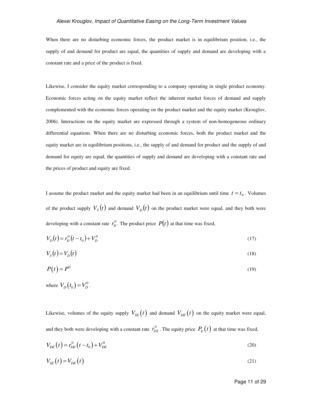#### *Alexei Krouglov, Impact of Quantitative Easing on the Long-Term Investment Values*

When there are no disturbing economic forces, the product market is in equilibrium position, i.e., the supply of and demand for product are equal, the quantities of supply and demand are developing with a constant rate and a price of the product is fixed.

Likewise, I consider the equity market corresponding to a company operating in single product economy. Economic forces acting on the equity market reflect the inherent market forces of demand and supply complemented with the economic forces operating on the product market and the equity market (Krouglov, 2006). Interactions on the equity market are expressed through a system of non-homogeneous ordinary differential equations. When there are no disturbing economic forces, both the product market and the equity market are in equilibrium positions, i.e., the supply of and demand for product and the supply of and demand for equity are equal, the quantities of supply and demand are developing with a constant rate and the prices of product and equity are fixed.

I assume the product market and the equity market had been in an equilibrium until time  $t = t_0$ . Volumes of the product supply  $V_s(t)$  and demand  $V_D(t)$  on the product market were equal, and they both were developing with a constant rate  $r_D^0$ . The product price  $P(t)$  at that time was fixed,

$$
V_D(t) = r_D^0(t - t_0) + V_D^0
$$
\n(17)

$$
V_s(t) = V_D(t) \tag{18}
$$

$$
P(t) = P^0 \tag{19}
$$

where  $V_{D}(t_{0})=V_{D}^{0}$ .

Likewise, volumes of the equity supply  $V_{SE}(t)$  and demand  $V_{DE}(t)$  on the equity market were equal, and they both were developing with a constant rate  $r_{DE}^0$ . The equity price  $P_E(t)$  at that time was fixed,

$$
V_{DE}(t) = r_{DE}^{0}(t - t_{0}) + V_{DE}^{0}
$$
\n(20)

$$
V_{SE}(t) = V_{DE}(t) \tag{21}
$$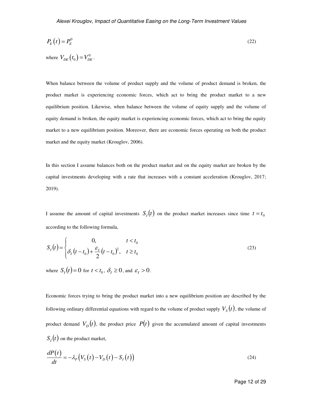$$
P_E(t) = P_E^0 \tag{22}
$$

When balance between the volume of product supply and the volume of product demand is broken, the

where  $V_{DE}(t_0) = V_{DE}^0$ .

product market is experiencing economic forces, which act to bring the product market to a new equilibrium position. Likewise, when balance between the volume of equity supply and the volume of equity demand is broken, the equity market is experiencing economic forces, which act to bring the equity market to a new equilibrium position. Moreover, there are economic forces operating on both the product market and the equity market (Krouglov, 2006).

In this section I assume balances both on the product market and on the equity market are broken by the capital investments developing with a rate that increases with a constant acceleration (Krouglov, 2017; 2019).

I assume the amount of capital investments  $S_t(t)$  on the product market increases since time  $t = t_0$ according to the following formula,

$$
S_I(t) = \begin{cases} 0, & t < t_0 \\ \delta_I(t - t_0) + \frac{\varepsilon_I}{2}(t - t_0)^2, & t \ge t_0 \end{cases}
$$
 (23)

where  $S_I(t) = 0$  for  $t < t_0$ ,  $\delta_I \ge 0$ , and  $\varepsilon_I > 0$ .

Economic forces trying to bring the product market into a new equilibrium position are described by the following ordinary differential equations with regard to the volume of product supply  $V_{_S}(t)$ , the volume of product demand  $V_D(t)$ , the product price  $P(t)$  given the accumulated amount of capital investments  $S_I(t)$  on the product market,

$$
\frac{dP(t)}{dt} = -\lambda_P \left( V_S(t) - V_D(t) - S_I(t) \right) \tag{24}
$$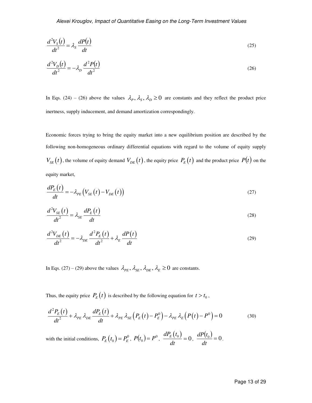$$
\frac{d^2V_s(t)}{dt^2} = \lambda_s \frac{dP(t)}{dt}
$$
\n(25)

$$
\frac{d^2V_D(t)}{dt^2} = -\lambda_D \frac{d^2P(t)}{dt^2}
$$
\n(26)

In Eqs. (24) – (26) above the values  $\lambda_p$ ,  $\lambda_s$ ,  $\lambda_p \ge 0$  are constants and they reflect the product price inertness, supply inducement, and demand amortization correspondingly.

Economic forces trying to bring the equity market into a new equilibrium position are described by the following non-homogeneous ordinary differential equations with regard to the volume of equity supply  $V_{SE}(t)$ , the volume of equity demand  $V_{DE}(t)$ , the equity price  $P_E(t)$  and the product price  $P(t)$  on the equity market,

$$
\frac{dP_E(t)}{dt} = -\lambda_{PE} \left( V_{SE}(t) - V_{DE}(t) \right) \tag{27}
$$

$$
\frac{d^2V_{SE}(t)}{dt^2} = \lambda_{SE} \frac{dP_E(t)}{dt}
$$
\n(28)

$$
\frac{d^2V_{DE}(t)}{dt^2} = -\lambda_{DE}\frac{d^2P_E(t)}{dt^2} + \lambda_E\frac{dP(t)}{dt}
$$
\n(29)

In Eqs. (27) – (29) above the values  $\lambda_{PE}$ ,  $\lambda_{SE}$ ,  $\lambda_{DE}$ ,  $\lambda_E \ge 0$  are constants.

Thus, the equity price  $P_E(t)$  is described by the following equation for  $t > t_0$ ,

$$
\frac{d^2P_E(t)}{dt^2} + \lambda_{PE} \lambda_{DE} \frac{dP_E(t)}{dt} + \lambda_{PE} \lambda_{SE} \left( P_E(t) - P_E^0 \right) - \lambda_{PE} \lambda_E \left( P(t) - P^0 \right) = 0 \tag{30}
$$

with the initial conditions,  $P_E(t_0) = P_E^0$ ,  $P(t_0) = P^0$ ,  $\frac{dP_E(t_0)}{dt} = 0$ *dt*  $= 0, \frac{dP(t_0)}{dt} = 0$ *dt*  $\frac{dP(t_0)}{dt} = 0$ .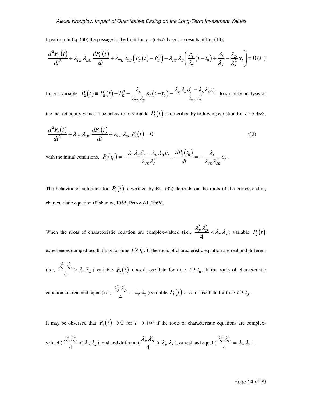I perform in Eq. (30) the passage to the limit for  $t \rightarrow +\infty$  based on results of Eq. (13),

$$
\frac{d^2P_E(t)}{dt^2} + \lambda_{PE} \lambda_{DE} \frac{dP_E(t)}{dt} + \lambda_{PE} \lambda_{SE} \left( P_E(t) - P_E^0 \right) - \lambda_{PE} \lambda_E \left( \frac{\varepsilon_I}{\lambda_S} (t - t_0) + \frac{\delta_I}{\lambda_S} - \frac{\lambda_D}{\lambda_S^2} \varepsilon_I \right) = 0 \tag{31}
$$

I use a variable  $P_2(t) = P_E(t) - P_E^0 - \frac{\lambda_E}{1 - \lambda_E} \varepsilon_I(t - t_0) - \frac{\lambda_E \lambda_S \delta_I - \lambda_E \lambda_D \varepsilon_I}{1 - \lambda_E^2}$  $SE \sim$ SE  $\sim$ SE  $\sim$ SE  $\sim$ SE  $\sim$ SE  $\sim$ S  $P_2(t) = P_E(t) - P_E^0 - \frac{\lambda_E}{\lambda_{SE} \lambda_S} \varepsilon_I(t - t_0) - \frac{\lambda_E \lambda_S \delta_I - \lambda_E \lambda_D \varepsilon_I}{\lambda_{SE} \lambda_S^2}$  $\equiv P_E(t) - P_E^0 - \frac{\lambda_E}{\lambda_E} \varepsilon_I(t - t_0) - \frac{\lambda_E \lambda_S \delta_I - \lambda_E \lambda_D \varepsilon_I}{\lambda_S}$  to simplify analysis of

the market equity values. The behavior of variable  $P_2(t)$  is described by following equation for  $t \to +\infty$ ,

$$
\frac{d^2P_2(t)}{dt^2} + \lambda_{PE} \lambda_{DE} \frac{dP_2(t)}{dt} + \lambda_{PE} \lambda_{SE} P_2(t) = 0
$$
\n(32)

with the initial conditions,  $P_2(t_0) = -\frac{\lambda_E \lambda_S O_I - \lambda_E \lambda_D \varepsilon_I}{a_0^2}$ *SE S*  $P_2(t_0) = -\frac{\lambda_E \lambda_S \delta_I - \lambda_E \lambda_D \varepsilon_I}{\lambda_I^2}$  $\lambda_{\scriptscriptstyle\rm SF}\lambda_{\scriptscriptstyle\rm S}^2$  $=-\frac{\lambda_E \lambda_S \delta_I - \lambda_E \lambda_D \varepsilon_I}{\lambda_I^2}$ ,  $\frac{dP_2(t_0)}{dt}$ 2  $\frac{E}{2^2}$  $\varepsilon$ <sup>*I*</sup> *SE SE*  $dP_2(t)$ *dt*  $\frac{\lambda_{_E}}{\lambda_{_{SE}}\lambda_{_{SE}}^2}\mathcal{E}$  $=-\frac{\lambda_E}{\lambda_0} \mathcal{E}_I$ .

The behavior of solutions for  $P_2(t)$  described by Eq. (32) depends on the roots of the corresponding characteristic equation (Piskunov, 1965; Petrovski, 1966).

When the roots of characteristic equation are complex-valued (i.e.,  $\frac{\lambda_P^2 \lambda_D^2}{4} < \lambda_P \lambda_S$ 4  $\frac{p^2}{4} \frac{\lambda_D^2}{4} < \lambda_P \lambda_S$ ) variable  $P_2(t)$ 

experiences damped oscillations for time  $t \geq t_0$ . If the roots of characteristic equation are real and different

(i.e., 
$$
\frac{\lambda_p^2 \lambda_D^2}{4} > \lambda_p \lambda_s
$$
) variable  $P_2(t)$  doesn't oscillate for time  $t \ge t_0$ . If the roots of characteristic

equation are real and equal (i.e.,  $\frac{\lambda_P^2 \lambda_D^2}{4} = \lambda_P \lambda_S$ 4  $\frac{d^2 p}{dt^2} \lambda_p^2 = \lambda_p \lambda_s$ ) variable  $P_2(t)$  doesn't oscillate for time  $t \ge t_0$ .

It may be observed that  $P_2(t) \rightarrow 0$  for  $t \rightarrow +\infty$  if the roots of characteristic equations are complex-

valued 
$$
(\frac{\lambda_P^2 \lambda_D^2}{4} < \lambda_P \lambda_S)
$$
, real and different  $(\frac{\lambda_P^2 \lambda_D^2}{4} > \lambda_P \lambda_S)$ , or real and equal  $(\frac{\lambda_P^2 \lambda_D^2}{4} = \lambda_P \lambda_S)$ .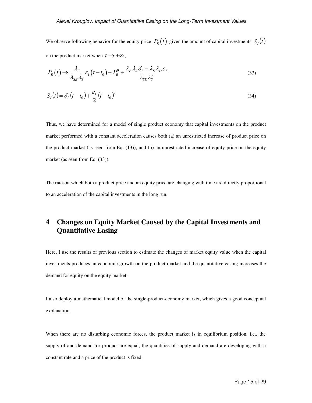We observe following behavior for the equity price  $P_E(t)$  given the amount of capital investments  $S_I(t)$ on the product market when  $t \rightarrow +\infty$ ,

$$
P_E(t) \to \frac{\lambda_E}{\lambda_{SE} \lambda_S} \varepsilon_I \left( t - t_0 \right) + P_E^0 + \frac{\lambda_E \lambda_S \delta_I - \lambda_E \lambda_D \varepsilon_I}{\lambda_{SE} \lambda_S^2}
$$
\n
$$
\tag{33}
$$

$$
S_I(t) = \delta_I (t - t_0) + \frac{\varepsilon_I}{2} (t - t_0)^2
$$
\n(34)

Thus, we have determined for a model of single product economy that capital investments on the product market performed with a constant acceleration causes both (a) an unrestricted increase of product price on the product market (as seen from Eq. (13)), and (b) an unrestricted increase of equity price on the equity market (as seen from Eq.  $(33)$ ).

The rates at which both a product price and an equity price are changing with time are directly proportional to an acceleration of the capital investments in the long run.

## **4 Changes on Equity Market Caused by the Capital Investments and Quantitative Easing**

Here, I use the results of previous section to estimate the changes of market equity value when the capital investments produces an economic growth on the product market and the quantitative easing increases the demand for equity on the equity market.

I also deploy a mathematical model of the single-product-economy market, which gives a good conceptual explanation.

When there are no disturbing economic forces, the product market is in equilibrium position, i.e., the supply of and demand for product are equal, the quantities of supply and demand are developing with a constant rate and a price of the product is fixed.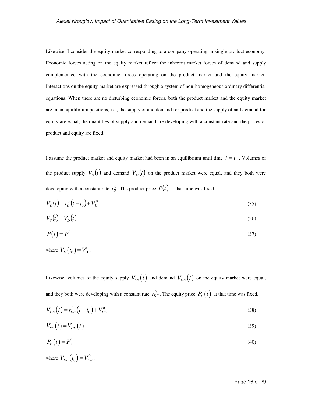Likewise, I consider the equity market corresponding to a company operating in single product economy. Economic forces acting on the equity market reflect the inherent market forces of demand and supply complemented with the economic forces operating on the product market and the equity market. Interactions on the equity market are expressed through a system of non-homogeneous ordinary differential equations. When there are no disturbing economic forces, both the product market and the equity market are in an equilibrium positions, i.e., the supply of and demand for product and the supply of and demand for equity are equal, the quantities of supply and demand are developing with a constant rate and the prices of product and equity are fixed.

I assume the product market and equity market had been in an equilibrium until time  $t = t_0$ . Volumes of the product supply  $V_s(t)$  and demand  $V_D(t)$  on the product market were equal, and they both were developing with a constant rate  $r_D^0$ . The product price  $P(t)$  at that time was fixed,

$$
V_D(t) = r_D^0(t - t_0) + V_D^0
$$
\n(35)

$$
V_s(t) = V_D(t) \tag{36}
$$

$$
P(t) = P^0 \tag{37}
$$

where  $V_{D}(t_{0})=V_{D}^{0}$ .

Likewise, volumes of the equity supply  $V_{SE}(t)$  and demand  $V_{DE}(t)$  on the equity market were equal, and they both were developing with a constant rate  $r_{DE}^0$ . The equity price  $P_E(t)$  at that time was fixed,

$$
V_{DE}(t) = r_{DE}^{0}(t - t_{0}) + V_{DE}^{0}
$$
\n(38)

$$
V_{SE}(t) = V_{DE}(t) \tag{39}
$$

$$
P_E(t) = P_E^0 \tag{40}
$$

where  $V_{DF}(t_0) = V_{DF}^0$ .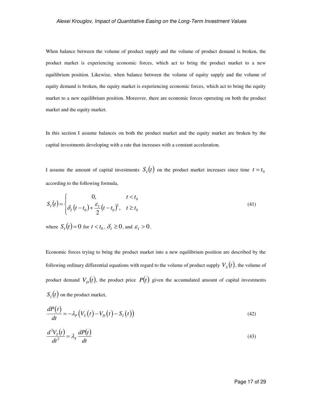When balance between the volume of product supply and the volume of product demand is broken, the product market is experiencing economic forces, which act to bring the product market to a new equilibrium position. Likewise, when balance between the volume of equity supply and the volume of equity demand is broken, the equity market is experiencing economic forces, which act to bring the equity market to a new equilibrium position. Moreover, there are economic forces operating on both the product market and the equity market.

In this section I assume balances on both the product market and the equity market are broken by the capital investments developing with a rate that increases with a constant acceleration.

I assume the amount of capital investments  $S_t(t)$  on the product market increases since time  $t = t_0$ according to the following formula,

$$
S_I(t) = \begin{cases} 0, & t < t_0 \\ \delta_I(t - t_0) + \frac{\varepsilon_I}{2}(t - t_0)^2, & t \ge t_0 \end{cases}
$$
(41)

where  $S_I(t) = 0$  for  $t < t_0$ ,  $\delta_I \ge 0$ , and  $\varepsilon_I > 0$ .

Economic forces trying to bring the product market into a new equilibrium position are described by the following ordinary differential equations with regard to the volume of product supply  $V_{_S}(t)$ , the volume of product demand  $V_D(t)$ , the product price  $P(t)$  given the accumulated amount of capital investments  $S_I(t)$  on the product market,

$$
\frac{dP(t)}{dt} = -\lambda_P \left( V_S(t) - V_D(t) - S_I(t) \right) \tag{42}
$$

$$
\frac{d^2V_s(t)}{dt^2} = \lambda_s \frac{dP(t)}{dt}
$$
\n(43)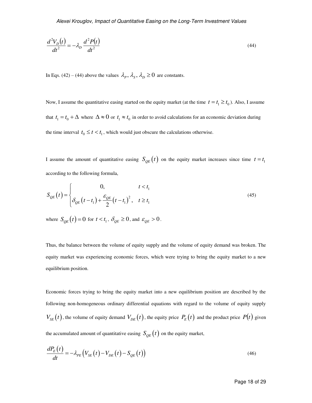$$
\frac{d^2V_D(t)}{dt^2} = -\lambda_D \frac{d^2P(t)}{dt^2}
$$
\n(44)

In Eqs. (42) – (44) above the values  $\lambda_p$ ,  $\lambda_s$ ,  $\lambda_p \ge 0$  are constants.

Now, I assume the quantitative easing started on the equity market (at the time  $t = t_1 \ge t_0$ ). Also, I assume that  $t_1 = t_0 + \Delta$  where  $\Delta \approx 0$  or  $t_1 \approx t_0$  in order to avoid calculations for an economic deviation during the time interval  $t_0 \le t < t_1$ , which would just obscure the calculations otherwise.

I assume the amount of quantitative easing  $S_{QE}(t)$  on the equity market increases since time  $t = t_1$ according to the following formula,

$$
S_{QE}(t) = \begin{cases} 0, & t < t_1 \\ \delta_{QE}(t - t_1) + \frac{\varepsilon_{QE}}{2}(t - t_1)^2, & t \ge t_1 \end{cases}
$$
 (45)

where  $S_{QE}(t) = 0$  for  $t < t_1$ ,  $\delta_{QE} \ge 0$ , and  $\varepsilon_{QE} > 0$ .

Thus, the balance between the volume of equity supply and the volume of equity demand was broken. The equity market was experiencing economic forces, which were trying to bring the equity market to a new equilibrium position.

Economic forces trying to bring the equity market into a new equilibrium position are described by the following non-homogeneous ordinary differential equations with regard to the volume of equity supply  $V_{SE}(t)$ , the volume of equity demand  $V_{DE}(t)$ , the equity price  $P_E(t)$  and the product price  $P(t)$  given the accumulated amount of quantitative easing  $S_{OE}(t)$  on the equity market,

$$
\frac{dP_E(t)}{dt} = -\lambda_{PE} \left( V_{SE}(t) - V_{DE}(t) - S_{QE}(t) \right)
$$
\n(46)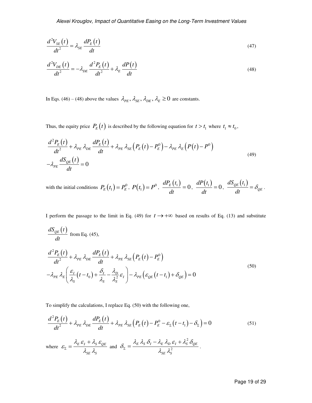$$
\frac{d^2V_{SE}(t)}{dt^2} = \lambda_{SE} \frac{dP_E(t)}{dt}
$$
\n(47)

$$
\frac{d^2V_{DE}(t)}{dt^2} = -\lambda_{DE}\frac{d^2P_E(t)}{dt^2} + \lambda_E\frac{dP(t)}{dt}
$$
\n(48)

In Eqs. (46) – (48) above the values  $\lambda_{PE}$ ,  $\lambda_{SE}$ ,  $\lambda_{DE}$ ,  $\lambda_E \ge 0$  are constants.

Thus, the equity price  $P_E(t)$  is described by the following equation for  $t > t_1$  where  $t_1 \approx t_0$ ,

$$
\frac{d^2P_E(t)}{dt^2} + \lambda_{PE} \lambda_{DE} \frac{dP_E(t)}{dt} + \lambda_{PE} \lambda_{SE} \left( P_E(t) - P_E^0 \right) - \lambda_{PE} \lambda_E \left( P(t) - P^0 \right)
$$
\n
$$
-\lambda_{PE} \frac{dS_{QE}(t)}{dt} = 0
$$
\n(49)

with the initial conditions  $P_E(t_1) = P_E^0$ ,  $P(t_1) = P^0$ ,  $\frac{dP_E(t_1)}{dt} = 0$ *dt*  $= 0, \frac{dP(t_1)}{dt} = 0$ *dP t dt*  $= 0, \frac{dS_{QE}(t_1)}{dt}$ *QE*  $dS_{OE}$  (t *dt*  $=\delta_{OE}$ .

I perform the passage to the limit in Eq. (49) for  $t \rightarrow +\infty$  based on results of Eq. (13) and substitute

$$
\frac{dS_{QE}(t)}{dt}
$$
 from Eq. (45),  
\n
$$
\frac{d^2P_E(t)}{dt^2} + \lambda_{PE} \lambda_{DE} \frac{dP_E(t)}{dt} + \lambda_{PE} \lambda_{SE} (P_E(t) - P_E^0)
$$
\n
$$
-\lambda_{PE} \lambda_E \left( \frac{\varepsilon_I}{\lambda_S} (t - t_0) + \frac{\delta_I}{\lambda_S} - \frac{\lambda_D}{\lambda_S^2} \varepsilon_I \right) - \lambda_{PE} (\varepsilon_{QE} (t - t_1) + \delta_{QE}) = 0
$$
\n(50)

To simplify the calculations, I replace Eq. (50) with the following one,

$$
\frac{d^2P_E(t)}{dt^2} + \lambda_{PE} \lambda_{DE} \frac{dP_E(t)}{dt} + \lambda_{PE} \lambda_{SE} \left( P_E(t) - P_E^0 - \varepsilon_{\Sigma} (t - t_1) - \delta_{\Sigma} \right) = 0 \tag{51}
$$

where  $\mathcal{E}_{\Sigma} = \frac{\mu_E \mathcal{E}_I + \mu_S \mathcal{E}_{QE}}{2}$ *SE S*  $\varepsilon_{\Sigma} = \frac{\lambda_{E} \, \varepsilon_{I} + \lambda_{S} \, \varepsilon_{S}}{\lambda_{SE} \, \lambda_{S}}$  $\ddot{}$  $=\frac{\sum_{E} \sigma_{I} + \sum_{S} \sigma_{QE}}{2}$  and 2 2  $E^{R}$   $V_S$   $V_I$   $V_E$   $V_D$   $C_I$   $V_S$   $V_{QE}$ *SE S*  $\delta_{\scriptscriptstyle{\Sigma}} = \frac{\lambda_{\scriptscriptstyle{E}} \, \lambda_{\scriptscriptstyle{S}} \, \delta_{\scriptscriptstyle{I}} - \lambda_{\scriptscriptstyle{E}} \, \lambda_{\scriptscriptstyle{D}} \, \varepsilon_{\scriptscriptstyle{I}} + \lambda_{\scriptscriptstyle{S}}^2 \, \delta_{\scriptscriptstyle{Q}}}{\lambda_{\scriptscriptstyle{S}\scriptscriptstyle{E}} \, \lambda_{\scriptscriptstyle{S}}^2}$  $-\lambda_{\rm F}\lambda_{\rm D}\varepsilon_{\rm L}+$  $=\frac{\sum_{k} \sum_{s} c_l \sum_{l} c_l \sum_{l} c_l \sum_{s} c_l \sum_{s} c_l}{\sum_{s} c_s \sum_{l} c_l \sum_{s} c_l \sum_{s} c_l}$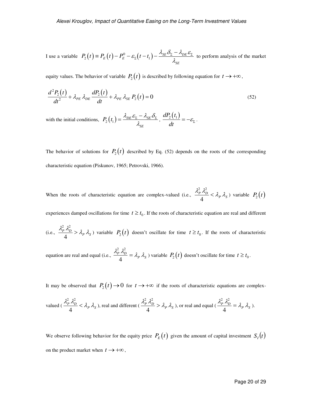I use a variable  $P_2(t) = P_E(t) - P_E^0 - \varepsilon_{\Sigma}(t - t_1) - \frac{\lambda_{SE} \sigma_{\Sigma} - \lambda_{DE}}{2}$ *SE*  $P_2(t) \equiv P_E(t) - P_E^0 - \varepsilon_{\rm r} (t - t_1) - \frac{\lambda_{SE} \delta_{\rm r} - \lambda_{DE} \varepsilon_{\rm r}}{\lambda_{\rm cr}}$  $\sum_{\Sigma}(t-t_1) - \frac{\lambda_{\Sigma E} C_{\Sigma} - \lambda_{DE} C_{\Sigma}}{2}$  $\equiv P_E(t) - P_E^0 - \varepsilon_{\Sigma}(t-t_1) - \frac{\lambda_{SE}\delta_{\Sigma} - \lambda_{DE}\varepsilon_{\Sigma}}{2}$  to perform analysis of the market

equity values. The behavior of variable  $P_2(t)$  is described by following equation for  $t \to +\infty$ ,

$$
\frac{d^2P_2(t)}{dt^2} + \lambda_{PE} \lambda_{DE} \frac{dP_2(t)}{dt} + \lambda_{PE} \lambda_{SE} P_2(t) = 0
$$
\n(52)

with the initial conditions,  $P_2(t_1) = \frac{\lambda_{DE} \varepsilon_{\Sigma} - \lambda_{SE}}{2}$ *SE*  $P_2(t_1) = \frac{\lambda_{DE} \varepsilon_z - \lambda_{SE} \delta_z}{\lambda_{cr}}$  $=\frac{\lambda_{DE}\varepsilon_{\Sigma}-\lambda_{SE}\delta_{\Sigma}}{2}$ ,  $\frac{dP_2(t_1)}{dt}$  $\frac{2\lambda^{1/2}}{dt} = -\varepsilon_{\Sigma}.$ 

The behavior of solutions for  $P_2(t)$  described by Eq. (52) depends on the roots of the corresponding characteristic equation (Piskunov, 1965; Petrovski, 1966).

When the roots of characteristic equation are complex-valued (i.e.,  $\frac{\lambda_P^2 \lambda_D^2}{4} < \lambda_P \lambda_S$ 4  $\frac{2}{p} \frac{\lambda_D^2}{\lambda} < \lambda_P \lambda_S$ ) variable  $P_2(t)$ 

experiences damped oscillations for time  $t \geq t_0$ . If the roots of characteristic equation are real and different

(i.e., 
$$
\frac{\lambda_p^2 \lambda_D^2}{4} > \lambda_p \lambda_s
$$
) variable  $P_2(t)$  doesn't oscillate for time  $t \ge t_0$ . If the roots of characteristic

equation are real and equal (i.e.,  $\frac{\lambda_P^2 \lambda_D^2}{4} = \lambda_P \lambda_S$ 4  $\frac{d^2 p}{dt^2} \lambda_p^2 = \lambda_p \lambda_s$ ) variable  $P_2(t)$  doesn't oscillate for time  $t \ge t_0$ .

It may be observed that  $P_2(t) \rightarrow 0$  for  $t \rightarrow +\infty$  if the roots of characteristic equations are complex-

valued 
$$
(\frac{\lambda_P^2 \lambda_D^2}{4} < \lambda_P \lambda_S)
$$
, real and different  $(\frac{\lambda_P^2 \lambda_D^2}{4} > \lambda_P \lambda_S)$ , or real and equal  $(\frac{\lambda_P^2 \lambda_D^2}{4} = \lambda_P \lambda_S)$ .

We observe following behavior for the equity price  $P_E(t)$  given the amount of capital investment  $S_I(t)$ on the product market when  $t \rightarrow +\infty$ ,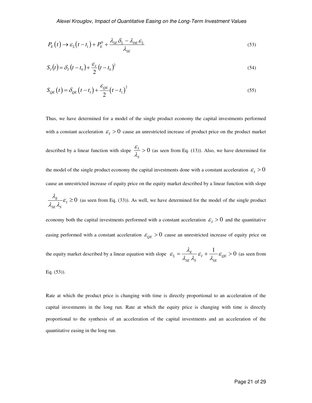$$
P_E(t) \to \varepsilon_{\Sigma}(t - t_1) + P_E^0 + \frac{\lambda_{SE}\delta_{\Sigma} - \lambda_{DE}\varepsilon_{\Sigma}}{\lambda_{SE}}
$$
\n
$$
\tag{53}
$$

$$
S_I(t) = \delta_I (t - t_0) + \frac{\varepsilon_I}{2} (t - t_0)^2
$$
\n(54)

$$
S_{QE}(t) = \delta_{QE}(t - t_1) + \frac{\varepsilon_{QE}}{2}(t - t_1)^2
$$
\n(55)

Thus, we have determined for a model of the single product economy the capital investments performed with a constant acceleration  $\mathcal{E}_I > 0$  cause an unrestricted increase of product price on the product market described by a linear function with slope  $\frac{c_I}{\lambda} > 0$ *S* ε  $\frac{\sigma_I}{\lambda_c} > 0$  (as seen from Eq. (13)). Also, we have determined for the model of the single product economy the capital investments done with a constant acceleration  $\varepsilon_I > 0$ cause an unrestricted increase of equity price on the equity market described by a linear function with slope  $\frac{E}{\tau} \varepsilon_I \geq 0$ *SE S*  $\frac{\lambda_{\scriptscriptstyle E}}{\lambda_{\scriptscriptstyle SE}\lambda_{\scriptscriptstyle S}}\mathcal{E}$  $\geq 0$  (as seen from Eq. (33)). As well, we have determined for the model of the single product economy both the capital investments performed with a constant acceleration  $\varepsilon_l > 0$  and the quantitative easing performed with a constant acceleration  $\varepsilon_{OE} > 0$  cause an unrestricted increase of equity price on

the equity market described by a linear equation with slope  $\varepsilon_z = \frac{\lambda_E}{1-\lambda_z} \varepsilon_I + \frac{1}{1-\lambda_z} \varepsilon_{QE} > 0$  $SE \sim S$   $S$  $\mathcal{E}_{\Sigma} = \frac{\lambda_E}{1-\epsilon} \mathcal{E}_I + \frac{1}{1-\epsilon} \mathcal{E}_I$  $\epsilon_{\Sigma} = \frac{\lambda_{\rm E}}{\lambda_{\rm SE} \lambda_{\rm S}} \varepsilon_{\rm I} + \frac{1}{\lambda_{\rm SE}} \varepsilon_{\rm QE} > 0$  (as seen from

Eq. (53)).

Rate at which the product price is changing with time is directly proportional to an acceleration of the capital investments in the long run. Rate at which the equity price is changing with time is directly proportional to the synthesis of an acceleration of the capital investments and an acceleration of the quantitative easing in the long run.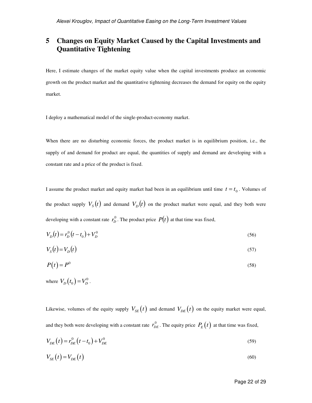## **5 Changes on Equity Market Caused by the Capital Investments and Quantitative Tightening**

Here, I estimate changes of the market equity value when the capital investments produce an economic growth on the product market and the quantitative tightening decreases the demand for equity on the equity market.

I deploy a mathematical model of the single-product-economy market.

When there are no disturbing economic forces, the product market is in equilibrium position, i.e., the supply of and demand for product are equal, the quantities of supply and demand are developing with a constant rate and a price of the product is fixed.

I assume the product market and equity market had been in an equilibrium until time  $t = t_0$ . Volumes of the product supply  $V_s(t)$  and demand  $V_D(t)$  on the product market were equal, and they both were developing with a constant rate  $r_D^0$ . The product price  $P(t)$  at that time was fixed,

$$
V_D(t) = r_D^0(t - t_0) + V_D^0
$$
\n(56)

$$
V_s(t) = V_D(t) \tag{57}
$$

$$
P(t) = P^0 \tag{58}
$$

where  $V_D(t_0) = V_D^0$ .

Likewise, volumes of the equity supply  $V_{SE}(t)$  and demand  $V_{DE}(t)$  on the equity market were equal, and they both were developing with a constant rate  $r_{DE}^0$ . The equity price  $P_E(t)$  at that time was fixed,

$$
V_{DE}(t) = r_{DE}^{0}(t - t_{0}) + V_{DE}^{0}
$$
\n(59)

$$
V_{SE}(t) = V_{DE}(t) \tag{60}
$$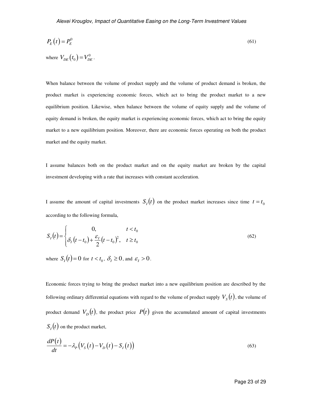$$
P_E(t) = P_E^0 \tag{61}
$$

When balance between the volume of product supply and the volume of product demand is broken, the product market is experiencing economic forces, which act to bring the product market to a new equilibrium position. Likewise, when balance between the volume of equity supply and the volume of equity demand is broken, the equity market is experiencing economic forces, which act to bring the equity market to a new equilibrium position. Moreover, there are economic forces operating on both the product market and the equity market.

I assume balances both on the product market and on the equity market are broken by the capital investment developing with a rate that increases with constant acceleration.

I assume the amount of capital investments  $S_t(t)$  on the product market increases since time  $t = t_0$ according to the following formula,

$$
S_I(t) = \begin{cases} 0, & t < t_0 \\ \delta_I(t - t_0) + \frac{\varepsilon_I}{2}(t - t_0)^2, & t \ge t_0 \end{cases}
$$
(62)

where  $S_I(t) = 0$  for  $t < t_0$ ,  $\delta_I \ge 0$ , and  $\varepsilon_I > 0$ .

where  $V_{DE}(t_0) = V_{DE}^0$ .

Economic forces trying to bring the product market into a new equilibrium position are described by the following ordinary differential equations with regard to the volume of product supply  $V_{_S}(t)$ , the volume of product demand  $V_D(t)$ , the product price  $P(t)$  given the accumulated amount of capital investments  $S_I(t)$  on the product market,

$$
\frac{dP(t)}{dt} = -\lambda_P \left( V_S(t) - V_D(t) - S_I(t) \right) \tag{63}
$$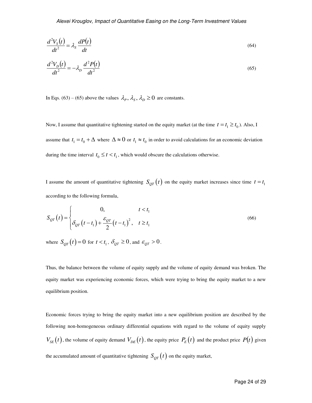$$
\frac{d^2V_s(t)}{dt^2} = \lambda_s \frac{dP(t)}{dt}
$$
\n(64)

$$
\frac{d^2V_D(t)}{dt^2} = -\lambda_D \frac{d^2P(t)}{dt^2}
$$
\n(65)

In Eqs. (63) – (65) above the values  $\lambda_p$ ,  $\lambda_s$ ,  $\lambda_p \ge 0$  are constants.

Now, I assume that quantitative tightening started on the equity market (at the time  $t = t_1 \ge t_0$ ). Also, I assume that  $t_1 = t_0 + \Delta$  where  $\Delta \approx 0$  or  $t_1 \approx t_0$  in order to avoid calculations for an economic deviation during the time interval  $t_0 \le t < t_1$ , which would obscure the calculations otherwise.

I assume the amount of quantitative tightening  $S_{QT}(t)$  on the equity market increases since time  $t = t_1$ according to the following formula,

$$
S_{QT}(t) = \begin{cases} 0, & t < t_1 \\ \delta_{QT}(t - t_1) + \frac{\varepsilon_{QT}}{2}(t - t_1)^2, & t \ge t_1 \end{cases}
$$
 (66)

where  $S_{QT}(t) = 0$  for  $t < t_1$ ,  $\delta_{QT} \ge 0$ , and  $\varepsilon_{QT} > 0$ .

Thus, the balance between the volume of equity supply and the volume of equity demand was broken. The equity market was experiencing economic forces, which were trying to bring the equity market to a new equilibrium position.

Economic forces trying to bring the equity market into a new equilibrium position are described by the following non-homogeneous ordinary differential equations with regard to the volume of equity supply  $V_{SE}(t)$ , the volume of equity demand  $V_{DE}(t)$ , the equity price  $P_E(t)$  and the product price  $P(t)$  given the accumulated amount of quantitative tightening  $S_{QT}(t)$  on the equity market,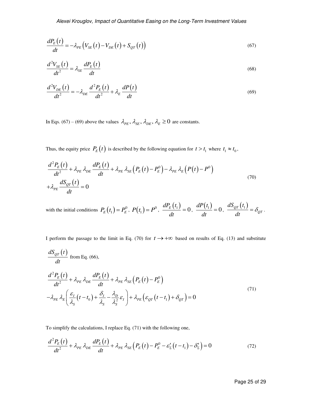$$
\frac{dP_E(t)}{dt} = -\lambda_{PE} \left( V_{SE}(t) - V_{DE}(t) + S_{QT}(t) \right) \tag{67}
$$

$$
\frac{d^2V_{SE}(t)}{dt^2} = \lambda_{SE} \frac{dP_E(t)}{dt}
$$
\n(68)

$$
\frac{d^2V_{DE}(t)}{dt^2} = -\lambda_{DE}\frac{d^2P_E(t)}{dt^2} + \lambda_E\frac{dP(t)}{dt}
$$
\n(69)

In Eqs. (67) – (69) above the values  $\lambda_{PE}$ ,  $\lambda_{SE}$ ,  $\lambda_{DE}$ ,  $\lambda_E \ge 0$  are constants.

Thus, the equity price  $P_E(t)$  is described by the following equation for  $t > t_1$  where  $t_1 \approx t_0$ ,

$$
\frac{d^2P_E(t)}{dt^2} + \lambda_{PE} \lambda_{DE} \frac{dP_E(t)}{dt} + \lambda_{PE} \lambda_{SE} \left( P_E(t) - P_E^0 \right) - \lambda_{PE} \lambda_E \left( P(t) - P^0 \right)
$$
  
+ 
$$
\lambda_{PE} \frac{dS_{QT}(t)}{dt} = 0
$$
 (70)

with the initial conditions  $P_E(t_1) = P_E^0$ ,  $P(t_1) = P^0$ ,  $\frac{dP_E(t_1)}{dt}=0$ *dt*  $= 0, \frac{dP(t_1)}{dt} = 0$ *dP t dt*  $= 0, \frac{dS_{QT}(t_1)}{dt}$ *QT*  $dS_{OT}(t)$ *dt*  $=\delta_{\scriptscriptstyle O}$ .

I perform the passage to the limit in Eq. (70) for  $t \rightarrow +\infty$  based on results of Eq. (13) and substitute

$$
\frac{dS_{QT}(t)}{dt}
$$
 from Eq. (66),  
\n
$$
\frac{d^2P_E(t)}{dt^2} + \lambda_{PE} \lambda_{DE} \frac{dP_E(t)}{dt} + \lambda_{PE} \lambda_{SE} (P_E(t) - P_E^0)
$$
\n
$$
-\lambda_{PE} \lambda_E \left( \frac{\varepsilon_I}{\lambda_S} (t - t_0) + \frac{\delta_I}{\lambda_S} - \frac{\lambda_D}{\lambda_S^2} \varepsilon_I \right) + \lambda_{PE} (\varepsilon_{QT} (t - t_1) + \delta_{QT}) = 0
$$
\n(71)

To simplify the calculations, I replace Eq. (71) with the following one,

$$
\frac{d^2P_E(t)}{dt^2} + \lambda_{PE} \lambda_{DE} \frac{dP_E(t)}{dt} + \lambda_{PE} \lambda_{SE} \left( P_E(t) - P_E^0 - \varepsilon_{\Sigma}'(t - t_1) - \delta_{\Sigma}' \right) = 0 \tag{72}
$$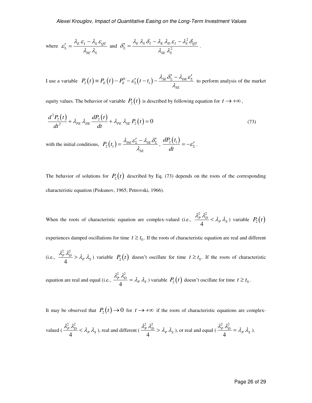where 
$$
\varepsilon'_{\Sigma} = \frac{\lambda_E \varepsilon_I - \lambda_S \varepsilon_{QT}}{\lambda_{SE} \lambda_S}
$$
 and  $\delta'_{\Sigma} = \frac{\lambda_E \lambda_S \delta_I - \lambda_E \lambda_D \varepsilon_I - \lambda_S^2 \delta_{QT}}{\lambda_{SE} \lambda_S^2}$ .

I use a variable  $P_2(t) = P_E(t) - P_E^0 - \varepsilon'_E(t - t_1) - \frac{\lambda_{SE} \sigma_{\Sigma} - \lambda_{DE}}{2}$ *SE*  $P_2(t) \equiv P_E(t) - P_E^0 - \varepsilon'_2(t - t_1) - \frac{\lambda_{SE}\delta'_2 - \lambda_{DE}\varepsilon_2}{\lambda_{cr}}$  $\sum_{\Sigma}^{\prime} (t-t_1) - \frac{\lambda_{\Sigma E}^{\prime} C_{\Sigma}}{2} \frac{\lambda_{\Sigma E}^{\prime} C_{\Sigma}}{2}$  $\tau = P_E(t) - P_E^0 - \varepsilon'_\Sigma(t - t_1) - \frac{\lambda_{SE} \delta'_\Sigma - \lambda_{DE} \varepsilon'_\Sigma}{\varepsilon}$  to perform analysis of the market

equity values. The behavior of variable  $P_2(t)$  is described by following equation for  $t \to +\infty$ ,

$$
\frac{d^2P_2(t)}{dt^2} + \lambda_{PE} \lambda_{DE} \frac{dP_2(t)}{dt} + \lambda_{PE} \lambda_{SE} P_2(t) = 0
$$
\n(73)

with the initial conditions,  $P_2(t_1) = \frac{\lambda_{DE} \varepsilon_{\Sigma} - \lambda_{SE}}{2}$ *SE*  $P_2(t_1) = \frac{\lambda_{DE} \varepsilon_z' - \lambda_{SE} \delta_z'}{\lambda_{SE}}$  $=\frac{\lambda_{DE}\varepsilon_{\Sigma}^{\prime}-\lambda_{SE}\delta_{\Sigma}^{\prime}}{2}$ ,  $\frac{dP_2(t_1)}{dt}$  $\frac{2(t_1)}{dt} = -\varepsilon'_\Sigma$ .

The behavior of solutions for  $P_2(t)$  described by Eq. (73) depends on the roots of the corresponding characteristic equation (Piskunov, 1965; Petrovski, 1966).

When the roots of characteristic equation are complex-valued (i.e.,  $\frac{\lambda_P^2 \lambda_D^2}{4} < \lambda_P \lambda_S$ 4  $\frac{p^2}{4} \frac{\lambda_D^2}{4} < \lambda_P \lambda_S$ ) variable  $P_2(t)$ 

experiences damped oscillations for time  $t \geq t_0$ . If the roots of characteristic equation are real and different

(i.e., 
$$
\frac{\lambda_p^2 \lambda_D^2}{4} > \lambda_p \lambda_s
$$
) variable  $P_2(t)$  doesn't oscillate for time  $t \ge t_0$ . If the roots of characteristic

equation are real and equal (i.e.,  $\frac{\lambda_P^2 \lambda_D^2}{4} = \lambda_P \lambda_S$ 4  $\frac{d^2 p}{dt^2} \lambda_p^2 = \lambda_p \lambda_s$ ) variable  $P_2(t)$  doesn't oscillate for time  $t \ge t_0$ .

It may be observed that  $P_2(t) \rightarrow 0$  for  $t \rightarrow +\infty$  if the roots of characteristic equations are complex-

valued 
$$
(\frac{\lambda_P^2 \lambda_D^2}{4} < \lambda_P \lambda_S)
$$
, real and different  $(\frac{\lambda_P^2 \lambda_D^2}{4} > \lambda_P \lambda_S)$ , or real and equal  $(\frac{\lambda_P^2 \lambda_D^2}{4} = \lambda_P \lambda_S)$ .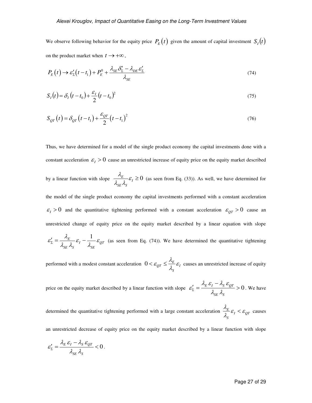We observe following behavior for the equity price  $P_E(t)$  given the amount of capital investment  $S_I(t)$ on the product market when  $t \rightarrow +\infty$ ,

$$
P_E(t) \to \varepsilon_{\Sigma}'(t - t_1) + P_E^0 + \frac{\lambda_{SE} \delta_{\Sigma}' - \lambda_{DE} \varepsilon_{\Sigma}'}{\lambda_{SE}}
$$
\n
$$
(74)
$$

$$
S_I(t) = \delta_I(t - t_0) + \frac{\varepsilon_I}{2}(t - t_0)^2
$$
\n(75)

$$
S_{QT}(t) = \delta_{QT}(t - t_1) + \frac{\varepsilon_{QT}}{2}(t - t_1)^2
$$
\n(76)

Thus, we have determined for a model of the single product economy the capital investments done with a constant acceleration  $\varepsilon_1 > 0$  cause an unrestricted increase of equity price on the equity market described

by a linear function with slope  $\frac{\lambda_E}{\lambda_{I}} \varepsilon_I \geq 0$ *SE S*  $\frac{\lambda_{\scriptscriptstyle E}}{\lambda_{\scriptscriptstyle SE}\lambda_{\scriptscriptstyle S}}\mathcal{E}$  $\geq 0$  (as seen from Eq. (33)). As well, we have determined for

the model of the single product economy the capital investments performed with a constant acceleration  $\varepsilon_I > 0$  and the quantitative tightening performed with a constant acceleration  $\varepsilon_{QT} > 0$  cause an unrestricted change of equity price on the equity market described by a linear equation with slope  $\frac{E}{E}$   $\frac{1}{2}$  $\lambda$ 

$$
\varepsilon'_{\Sigma} = \frac{\lambda_E}{\lambda_{SE} \lambda_S} \varepsilon_I - \frac{1}{\lambda_{SE}} \varepsilon_{QT}
$$
 (as seen from Eq. (74)). We have determined the quantitative tightening

performed with a modest constant acceleration  $0 < \varepsilon_{QT} \leq \frac{\varepsilon_{ET}}{2} \varepsilon_I$ *S*  $<\varepsilon_{QT}\leq \frac{\lambda_E}{\lambda_c}\varepsilon_I$  causes an unrestricted increase of equity

price on the equity market described by a linear function with slope  $\varepsilon'_{\Sigma} = \frac{\varepsilon E G_I}{r} \frac{R_{\Sigma} G G T}{r} > 0$ *SE S*  $\varepsilon_{\Sigma}^{\prime} = \frac{\lambda_{E} \, \varepsilon_{I} - \lambda_{S} \, \varepsilon_{I}}{\lambda_{SE} \, \lambda_{S}}$ - $\frac{\gamma}{\gamma} = \frac{\gamma E G_I}{r}$   $\frac{\gamma S G_I}{r} > 0$ . We have

determined the quantitative tightening performed with a large constant acceleration  $\frac{n_E}{n} \varepsilon_I < \varepsilon_{QI}$ *S*  $\frac{\lambda_E}{\lambda_c} \varepsilon_I < \varepsilon_{QT}$  causes

an unrestricted decrease of equity price on the equity market described by a linear function with slope

$$
\varepsilon_z' = \frac{\lambda_{\scriptscriptstyle E}\,\varepsilon_{\scriptscriptstyle I} - \lambda_{\scriptscriptstyle S}\,\varepsilon_{\scriptscriptstyle QT}}{\lambda_{\scriptscriptstyle SE}\,\lambda_{\scriptscriptstyle S}} < 0\,.
$$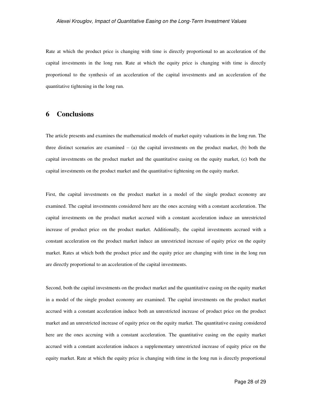Rate at which the product price is changing with time is directly proportional to an acceleration of the capital investments in the long run. Rate at which the equity price is changing with time is directly proportional to the synthesis of an acceleration of the capital investments and an acceleration of the quantitative tightening in the long run.

#### **6 Conclusions**

The article presents and examines the mathematical models of market equity valuations in the long run. The three distinct scenarios are examined  $-$  (a) the capital investments on the product market, (b) both the capital investments on the product market and the quantitative easing on the equity market, (c) both the capital investments on the product market and the quantitative tightening on the equity market.

First, the capital investments on the product market in a model of the single product economy are examined. The capital investments considered here are the ones accruing with a constant acceleration. The capital investments on the product market accrued with a constant acceleration induce an unrestricted increase of product price on the product market. Additionally, the capital investments accrued with a constant acceleration on the product market induce an unrestricted increase of equity price on the equity market. Rates at which both the product price and the equity price are changing with time in the long run are directly proportional to an acceleration of the capital investments.

Second, both the capital investments on the product market and the quantitative easing on the equity market in a model of the single product economy are examined. The capital investments on the product market accrued with a constant acceleration induce both an unrestricted increase of product price on the product market and an unrestricted increase of equity price on the equity market. The quantitative easing considered here are the ones accruing with a constant acceleration. The quantitative easing on the equity market accrued with a constant acceleration induces a supplementary unrestricted increase of equity price on the equity market. Rate at which the equity price is changing with time in the long run is directly proportional